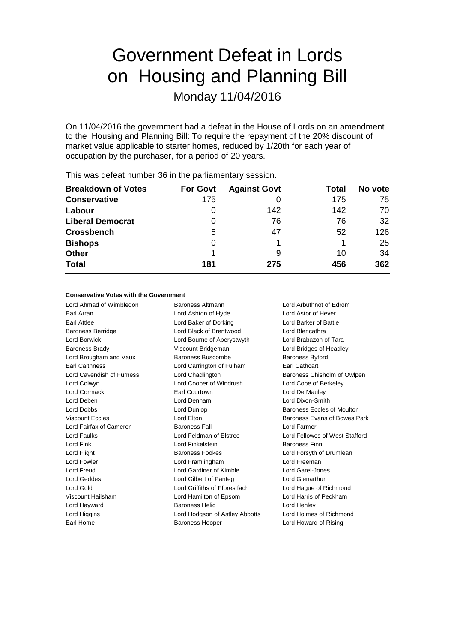# Government Defeat in Lords on Housing and Planning Bill

Monday 11/04/2016

On 11/04/2016 the government had a defeat in the House of Lords on an amendment to the Housing and Planning Bill: To require the repayment of the 20% discount of market value applicable to starter homes, reduced by 1/20th for each year of occupation by the purchaser, for a period of 20 years.

| <b>Breakdown of Votes</b> | <b>For Govt</b> | <b>Against Govt</b> | Total | No vote |  |
|---------------------------|-----------------|---------------------|-------|---------|--|
| <b>Conservative</b>       | 175             |                     | 175   | 75      |  |
| Labour                    |                 | 142                 | 142   | 70      |  |
| <b>Liberal Democrat</b>   | 0               | 76                  | 76    | 32      |  |
| <b>Crossbench</b>         | 5               | 47                  | 52    | 126     |  |
| <b>Bishops</b>            | O               |                     |       | 25      |  |
| <b>Other</b>              |                 | 9                   | 10    | 34      |  |
| <b>Total</b>              | 181             | 275                 | 456   | 362     |  |
|                           |                 |                     |       |         |  |

This was defeat number 36 in the parliamentary session.

#### **Conservative Votes with the Government**

Lord Ahmad of Wimbledon Baroness Altmann Lord Arbuthnot of Edrom Earl Arran Lord Ashton of Hyde Lord Astor of Hever Earl Attlee **Lord Baker of Dorking** Lord Barker of Battle Baroness Berridge Lord Black of Brentwood Lord Blencathra Lord Borwick Lord Bourne of Aberystwyth Lord Brabazon of Tara Baroness Brady **Marting Community Community** Viscount Bridgeman **Lord Bridges of Headley** Lord Brougham and Vaux Baroness Buscombe Baroness Byford Earl Caithness Lord Carrington of Fulham Earl Cathcart Lord Cavendish of Furness Lord Chadlington Baroness Chisholm of Owlpen Lord Colwyn Lord Cooper of Windrush Lord Cope of Berkeley Lord Cormack Earl Courtown Lord De Mauley Lord Deben Lord Denham Lord Dixon-Smith Lord Dobbs **Lord Dunlop Lord Dunlop** Baroness Eccles of Moulton Viscount Eccles **Lord Elton** Lord Elton Baroness Evans of Bowes Park Lord Fairfax of Cameron Baroness Fall Lord Farmer Lord Faulks Lord Feldman of Elstree Lord Fellowes of West Stafford Lord Fink Lord Finkelstein **Baroness Finn** Lord Flight **Baroness Fookes** Lord Forsyth of Drumlean Lord Fowler Lord Framlingham Lord Freeman Lord Freud Lord Gardiner of Kimble Lord Garel-Jones Lord Geddes Lord Gilbert of Panteg Lord Glenarthur Lord Gold Lord Griffiths of Fforestfach Lord Hague of Richmond Viscount Hailsham Lord Hamilton of Epsom Lord Harris of Peckham Lord Hayward **Baroness Helic** Lord Henley Lord Higgins Lord Hodgson of Astley Abbotts Lord Holmes of Richmond Earl Home **Baroness Hooper Baroness Hooper Lord Howard of Rising**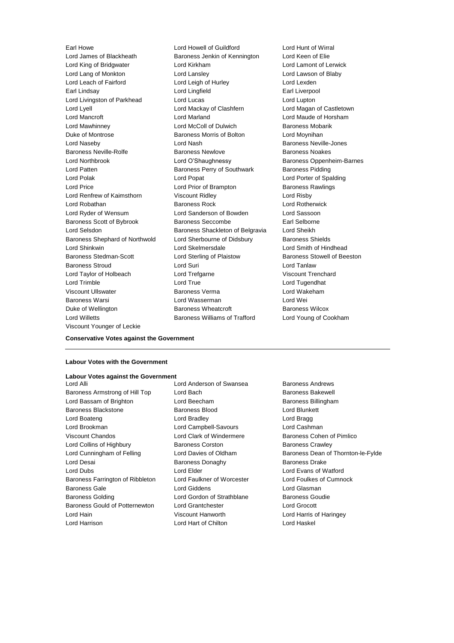Viscount Younger of Leckie

Earl Howe Lord Howell of Guildford Lord Hunt of Wirral Lord James of Blackheath Baroness Jenkin of Kennington Lord Keen of Elie Lord King of Bridgwater Lord Kirkham Lord Lamont of Lerwick Lord Lang of Monkton Lord Lansley Lord Lawson of Blaby Lord Leach of Fairford **Lord Leigh of Hurley** Lord Lexden Earl Lindsay **Lord Lingfield** Earl Liverpool Lord Livingston of Parkhead Lord Lucas Lord Lucas Lord Lupton Lord Lyell Lord Mackay of Clashfern Lord Magan of Castletown Lord Mancroft Lord Marland Lord Maude of Horsham Lord Mawhinney Lord McColl of Dulwich Baroness Mobarik Duke of Montrose Baroness Morris of Bolton Lord Moynihan Lord Naseby Lord Nash Baroness Neville-Jones Baroness Neville-Rolfe Baroness Newlove Baroness Noakes Lord Northbrook Lord O'Shaughnessy Baroness Oppenheim-Barnes Lord Patten **Baroness Perry of Southwark** Baroness Pidding Lord Polak Lord Popat Lord Porter of Spalding Lord Price Lord Prior of Brampton Baroness Rawlings Lord Renfrew of Kaimsthorn Viscount Ridley Cord Risby Lord Robathan Baroness Rock Lord Rotherwick Lord Ryder of Wensum Lord Sanderson of Bowden Lord Sassoon Baroness Scott of Bybrook Baroness Seccombe Earl Selborne Lord Selsdon **Baroness Shackleton of Belgravia** Lord Sheikh Baroness Shephard of Northwold Lord Sherbourne of Didsbury Baroness Shields Lord Shinkwin Lord Skelmersdale Lord Smith of Hindhead Baroness Stedman-Scott Lord Sterling of Plaistow Baroness Stowell of Beeston Baroness Stroud Lord Suri Lord Tanlaw Lord Taylor of Holbeach Lord Trefgarne Viscount Trenchard Lord Trimble Lord True Lord Tugendhat Viscount Ullswater Baroness Verma Lord Wakeham Baroness Warsi Lord Wasserman Lord Wei Duke of Wellington Baroness Wheatcroft Baroness Wilcox Lord Willetts Baroness Williams of Trafford Lord Young of Cookham

#### **Conservative Votes against the Government**

#### **Labour Votes with the Government**

#### **Labour Votes against the Government**

Baroness Armstrong of Hill Top Lord Bach Baroness Bakewell Lord Bassam of Brighton **Lord Beecham** Baroness Billingham Baroness Blackstone Baroness Blood Lord Blunkett Lord Boateng Lord Bradley Lord Bragg Lord Brookman Lord Campbell-Savours Lord Cashman Viscount Chandos Lord Clark of Windermere Baroness Cohen of Pimlico Lord Collins of Highbury **Baroness Corston** Baroness Corston Baroness Crawley Lord Desai **Baroness Donaghy** Baroness Donaghy Baroness Drake Lord Dubs Lord Elder Lord Evans of Watford Baroness Farrington of Ribbleton Lord Faulkner of Worcester Lord Foulkes of Cumnock Baroness Gale Lord Giddens Lord Glasman Baroness Golding **Lord Gordon of Strathblane** Baroness Goudie Baroness Gould of Potternewton Lord Grantchester Lord Grocott Lord Hain Viscount Hanworth Lord Harris of Haringey

Lord Alli Lord Anderson of Swansea Baroness Andrews Lord Harrison Lord Hart of Chilton Lord Haskel

Lord Cunningham of Felling Lord Davies of Oldham Baroness Dean of Thornton-le-Fylde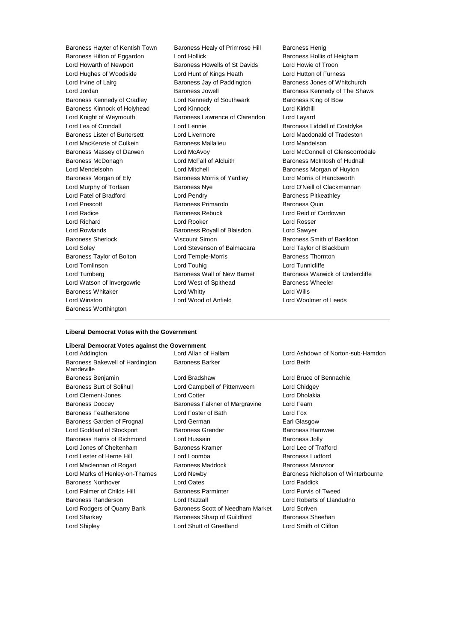Baroness Hilton of Eggardon Lord Hollick Lord Howarth of Newport Baroness Howells of St Davids Lord Howie of Troon Lord Hughes of Woodside Lord Hunt of Kings Heath Lord Hutton of Furness Lord Irvine of Lairg **Baroness Jay of Paddington** Baroness Jones of Whitchurch Baroness Kennedy of Cradley **Lord Kennedy of Southwark** Baroness King of Bow Baroness Kinnock of Holyhead Lord Kinnock Lord Kirkhill Lord Knight of Weymouth Baroness Lawrence of Clarendon Lord Layard Lord Lea of Crondall Lord Lennie **Baroness Liddell of Coatdyke** Baroness Lister of Burtersett Lord Livermore Lord Macdonald of Tradeston Lord MacKenzie of Culkein Baroness Mallalieu Lord Mandelson Baroness McDonagh Lord McFall of Alcluith Baroness McIntosh of Hudnall Lord Mendelsohn **Lord Mitchell** Baroness Morgan of Huyton Baroness Morgan of Ely **Baroness Morris of Yardley** Lord Morris of Handsworth Lord Murphy of Torfaen **Baroness Nye** Lord O'Neill of Clackmannan Lord Patel of Bradford **Lord Pendry Community** Baroness Pitkeathley Lord Prescott Baroness Primarolo Baroness Quin Lord Radice Baroness Rebuck Lord Reid of Cardowan Lord Richard Lord Rooker Lord Rosser Lord Rowlands Baroness Royall of Blaisdon Lord Sawyer Baroness Sherlock Viscount Simon Baroness Smith of Basildon Lord Soley Lord Stevenson of Balmacara Lord Taylor of Blackburn Baroness Taylor of Bolton Lord Temple-Morris **Baroness Thornton** Lord Tomlinson Lord Touhig Lord Tunnicliffe Lord Turnberg **Baroness Wall of New Barnet** Baroness Warwick of Undercliffe Lord Watson of Invergowrie **Lord West of Spithead** Baroness Wheeler Baroness Whitaker **Lord Whitty** Lord Whitty **Lord Wills** Lord Winston Lord Wood of Anfield Lord Woolmer of Leeds Baroness Worthington

Baroness Hayter of Kentish Town Baroness Healy of Primrose Hill Baroness Henig<br>Baroness Hilton of Eggardon Lord Hollick Baroness Hollis of Heigham

Lord Jordan **Baroness Jowell** Baroness Jowell Baroness Kennedy of The Shaws Baroness Massey of Darwen Lord McAvoy Connell of Glenscorrodale Connell of Glenscorrodale

#### **Liberal Democrat Votes with the Government**

#### **Liberal Democrat Votes against the Government**

Baroness Bakewell of Hardington Mandeville Baroness Benjamin Lord Bradshaw Lord Bruce of Bennachie Baroness Burt of Solihull Lord Campbell of Pittenweem Lord Chidgey Lord Clement-Jones Lord Cotter Lord Dholakia Baroness Doocey Baroness Falkner of Margravine Lord Fearn Baroness Featherstone Lord Foster of Bath Lord Fox Baroness Garden of Frognal Lord German **Earl Glasgow** Lord Goddard of Stockport **Baroness Grender** Baroness Hamwee Baroness Harris of Richmond Lord Hussain **Baroness Jolly** Lord Jones of Cheltenham Baroness Kramer Lord Lee of Trafford Lord Lester of Herne Hill **Lord Loomba Baroness Ludford Baroness Ludford** Lord Maclennan of Rogart Baroness Maddock Baroness Manzoor Baroness Northover Lord Oates Lord Paddick Lord Palmer of Childs Hill Baroness Parminter Lord Purvis of Tweed Baroness Randerson Lord Razzall Lord Roberts of Llandudno Lord Rodgers of Quarry Bank Baroness Scott of Needham Market Lord Scriven Lord Sharkey Baroness Sharp of Guildford Baroness Sheehan Lord Shipley **Lord Shutt of Greetland** Lord Smith of Clifton

Lord Addington Lord Allan of Hallam Lord Ashdown of Norton-sub-Hamdon Baroness Barker **Lord Beith** 

Lord Marks of Henley-on-Thames Lord Newby **Baroness Nicholson of Winterbourne**